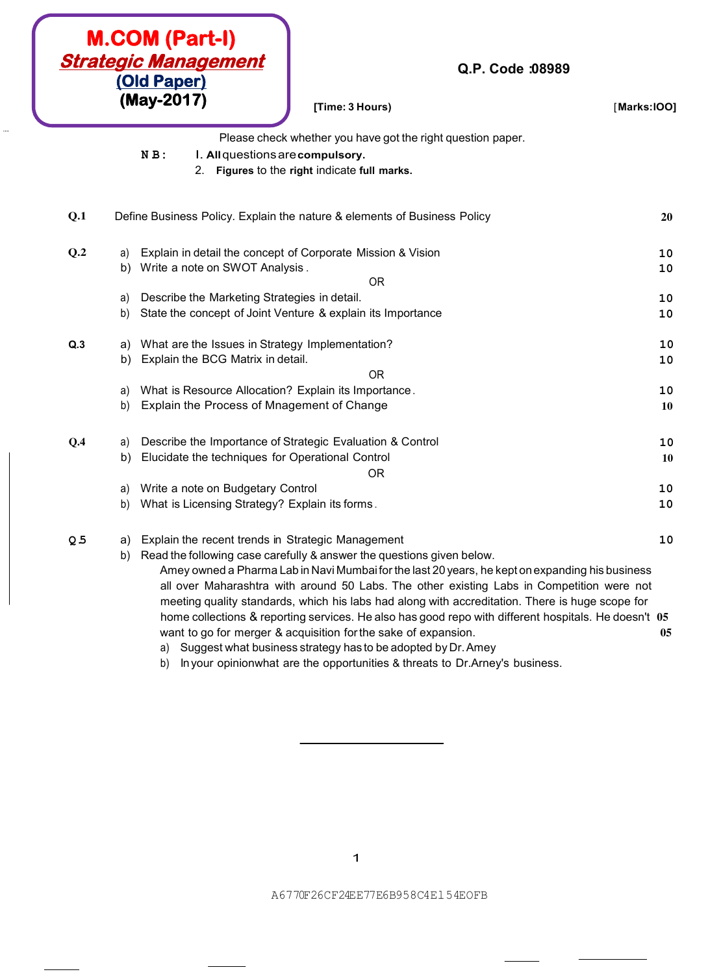|                |          | <b>M.COM (Part-I)</b><br><u> Strategic Management</u><br>Q.P. Code :08989<br>(Old Paper)<br>(May-2017)<br>[Time: 3 Hours)                                                | [Marks: IOO] |           |
|----------------|----------|--------------------------------------------------------------------------------------------------------------------------------------------------------------------------|--------------|-----------|
|                |          | Please check whether you have got the right question paper.                                                                                                              |              |           |
|                |          | $N B$ :<br>I. All questions are compulsory.                                                                                                                              |              |           |
|                |          | Figures to the right indicate full marks.<br>2.                                                                                                                          |              |           |
|                |          |                                                                                                                                                                          |              |           |
| Q.1            |          | Define Business Policy. Explain the nature & elements of Business Policy                                                                                                 |              | 20        |
| Q.2            | a)       | Explain in detail the concept of Corporate Mission & Vision                                                                                                              |              | 10        |
|                | b)       | Write a note on SWOT Analysis.                                                                                                                                           |              | 10        |
|                |          | <b>OR</b>                                                                                                                                                                |              |           |
|                | a)       | Describe the Marketing Strategies in detail.                                                                                                                             |              | 10        |
|                | b)       | State the concept of Joint Venture & explain its Importance                                                                                                              |              | 10        |
| Q.3            |          | a) What are the Issues in Strategy Implementation?                                                                                                                       |              | 10        |
|                | b)       | Explain the BCG Matrix in detail.                                                                                                                                        |              | 10        |
|                |          | <b>OR</b>                                                                                                                                                                |              |           |
|                | a)       | What is Resource Allocation? Explain its Importance.                                                                                                                     |              | 10        |
|                | b)       | Explain the Process of Mnagement of Change                                                                                                                               |              | <b>10</b> |
| Q.4            |          | Describe the Importance of Strategic Evaluation & Control                                                                                                                |              | 10        |
|                | a)<br>b) | Elucidate the techniques for Operational Control                                                                                                                         |              | 10        |
|                |          | <b>OR</b>                                                                                                                                                                |              |           |
|                | a)       | Write a note on Budgetary Control                                                                                                                                        |              | 10        |
|                | b)       | What is Licensing Strategy? Explain its forms.                                                                                                                           |              | 10        |
|                |          |                                                                                                                                                                          |              |           |
| Q <sub>5</sub> | a)       | Explain the recent trends in Strategic Management                                                                                                                        |              | 10        |
|                | b)       | Read the following case carefully & answer the questions given below.<br>Amey owned a Pharma Lab in Navi Mumbai for the last 20 years, he kept on expanding his business |              |           |
|                |          | all over Maharashtra with around 50 Labs. The other existing Labs in Competition were not                                                                                |              |           |
|                |          | meeting quality standards, which his labs had along with accreditation. There is huge scope for                                                                          |              |           |
|                |          | home collections & reporting services. He also has good repo with different hospitals. He doesn't 05                                                                     |              |           |
|                |          | want to go for merger & acquisition for the sake of expansion.                                                                                                           |              | 05        |
|                |          | a) Suggest what business strategy has to be adopted by Dr. Amey                                                                                                          |              |           |

...

b) In your opinionwhat are the opportunities & threats to Dr.Arney's business.